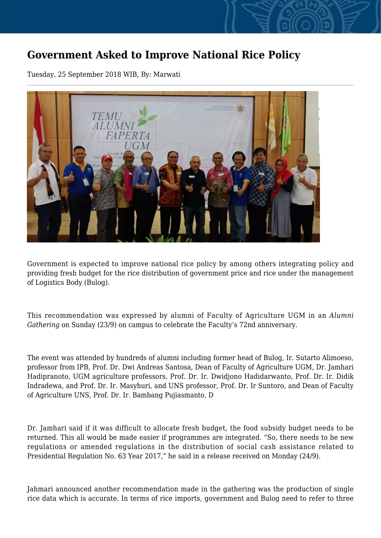## **Government Asked to Improve National Rice Policy**

Tuesday, 25 September 2018 WIB, By: Marwati



Government is expected to improve national rice policy by among others integrating policy and providing fresh budget for the rice distribution of government price and rice under the management of Logistics Body (Bulog).

This recommendation was expressed by alumni of Faculty of Agriculture UGM in an *Alumni Gathering* on Sunday (23/9) on campus to celebrate the Faculty's 72nd anniversary.

The event was attended by hundreds of alumni including former head of Bulog, Ir. Sutarto Alimoeso, professor from IPB, Prof. Dr. Dwi Andreas Santosa, Dean of Faculty of Agriculture UGM, Dr. Jamhari Hadipranoto, UGM agriculture professors, Prof. Dr. Ir. Dwidjono Hadidarwanto, Prof. Dr. Ir. Didik Indradewa, and Prof. Dr. Ir. Masyhuri, and UNS professor, Prof. Dr. Ir Suntoro, and Dean of Faculty of Agriculture UNS, Prof. Dr. Ir. Bambang Pujiasmanto, D

Dr. Jamhari said if it was difficult to allocate fresh budget, the food subsidy budget needs to be returned. This all would be made easier if programmes are integrated. "So, there needs to be new regulations or amended regulations in the distribution of social cash assistance related to Presidential Regulation No. 63 Year 2017," he said in a release received on Monday (24/9).

Jahmari announced another recommendation made in the gathering was the production of single rice data which is accurate. In terms of rice imports, government and Bulog need to refer to three